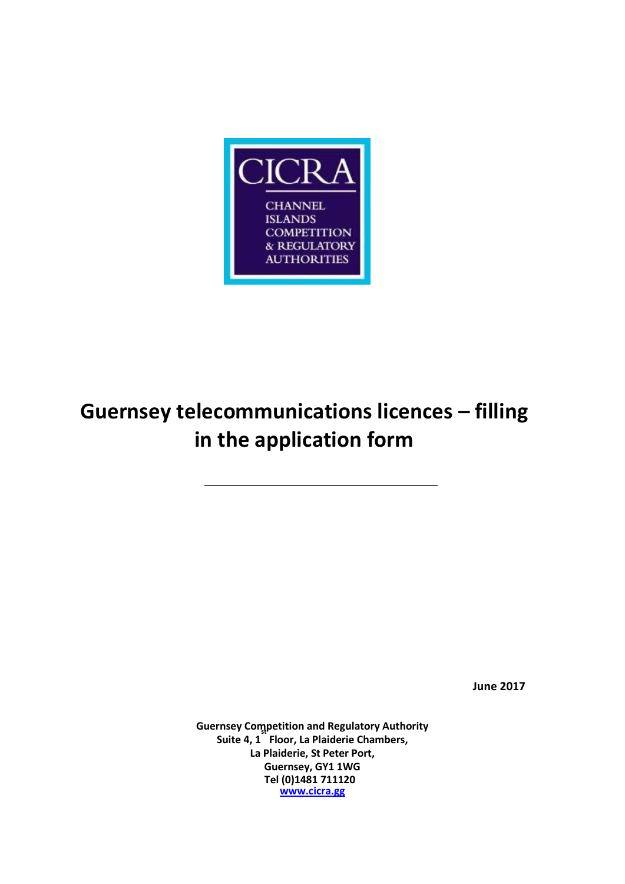

# **Guernsey telecommunications licences – filling in the application form**

**June 2017** 

**Guernsey Competition and Regulatory Authority st Suite 4, 1 Floor, La Plaiderie Chambers, La Plaiderie, St Peter Port, Guernsey, GY1 1WG Tel (0)1481 711120 www.cicra.gg**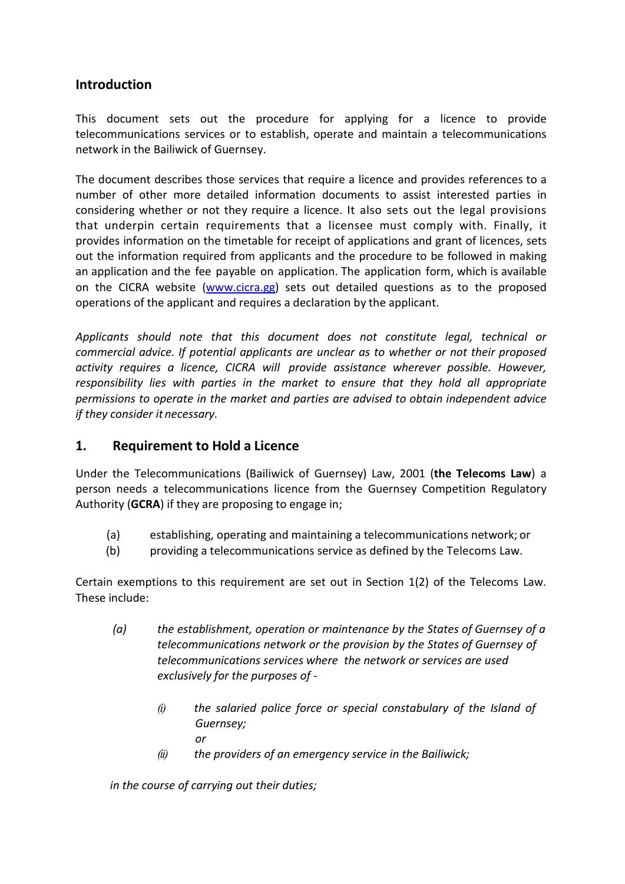## **Introduction**

This document sets out the procedure for applying for a licence to provide telecommunications services or to establish, operate and maintain a telecommunications network in the Bailiwick of Guernsey.

The document describes those services that require a licence and provides references to a number of other more detailed information documents to assist interested parties in considering whether or not they require a licence. It also sets out the legal provisions that underpin certain requirements that a licensee must comply with. Finally, it provides information on the timetable for receipt of applications and grant of licences, sets out the information required from applicants and the procedure to be followed in making an application and the fee payable on application. The application form, which is available on the CICRA website (www.cicra.gg) sets out detailed questions as to the proposed operations of the applicant and requires a declaration by the applicant.

*Applicants should note that this document does not constitute legal, technical or commercial advice. If potential applicants are unclear as to whether or not their proposed activity requires a licence, CICRA will provide assistance wherever possible. However, responsibility lies with parties in the market to ensure that they hold all appropriate permissions to operate in the market and parties are advised to obtain independent advice if they consider it necessary.*

## **1. Requirement to Hold a Licence**

Under the Telecommunications (Bailiwick of Guernsey) Law, 2001 (**the Telecoms Law**) a person needs a telecommunications licence from the Guernsey Competition Regulatory Authority (**GCRA**) if they are proposing to engage in;

- (a) establishing, operating and maintaining a telecommunications network; or
- (b) providing a telecommunications service as defined by the Telecoms Law.

Certain exemptions to this requirement are set out in Section 1(2) of the Telecoms Law. These include:

- *(a) the establishment, operation or maintenance by the States of Guernsey of a telecommunications network or the provision by the States of Guernsey of telecommunications services where the network or services are used exclusively for the purposes of -* 
	- *(i) the salaried police force or special constabulary of the Island of Guernsey; or*
	- *(ii) the providers of an emergency service in the Bailiwick;*

*in the course of carrying out their duties;*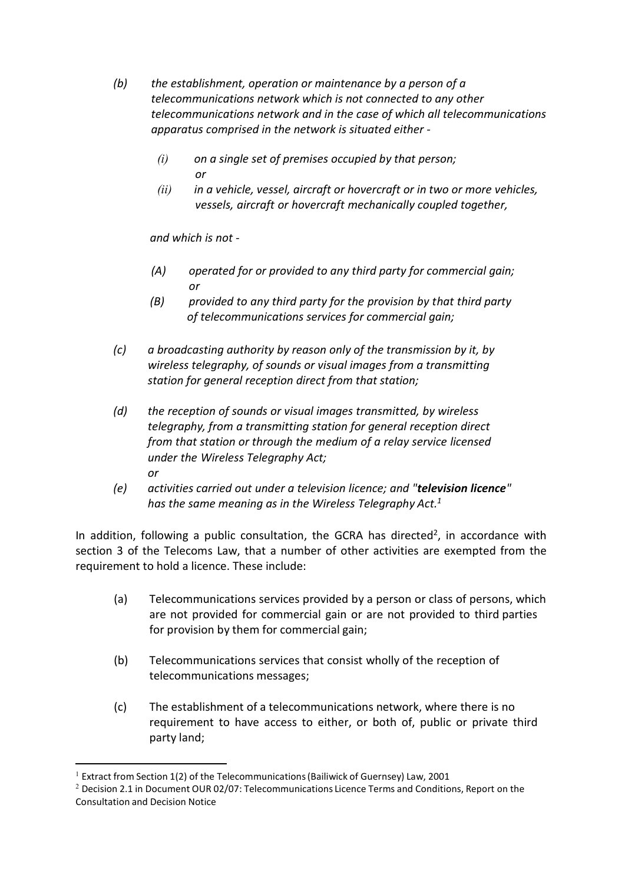- *(b) the establishment, operation or maintenance by a person of a telecommunications network which is not connected to any other telecommunications network and in the case of which all telecommunications apparatus comprised in the network is situated either -* 
	- *(i) on a single set of premises occupied by that person; or*
	- *(ii) in a vehicle, vessel, aircraft or hovercraft or in two or more vehicles, vessels, aircraft or hovercraft mechanically coupled together,*

*and which is not -* 

- *(A) operated for or provided to any third party for commercial gain; or*
- *(B) provided to any third party for the provision by that third party of telecommunications services for commercial gain;*
- *(c) a broadcasting authority by reason only of the transmission by it, by wireless telegraphy, of sounds or visual images from a transmitting station for general reception direct from that station;*
- *(d) the reception of sounds or visual images transmitted, by wireless telegraphy, from a transmitting station for general reception direct from that station or through the medium of a relay service licensed under the Wireless Telegraphy Act; or*
- *(e) activities carried out under a television licence; and "television licence" has the same meaning as in the Wireless Telegraphy Act.<sup>1</sup>*

In addition, following a public consultation, the GCRA has directed<sup>2</sup>, in accordance with section 3 of the Telecoms Law, that a number of other activities are exempted from the requirement to hold a licence. These include:

- (a) Telecommunications services provided by a person or class of persons, which are not provided for commercial gain or are not provided to third parties for provision by them for commercial gain;
- (b) Telecommunications services that consist wholly of the reception of telecommunications messages;
- (c) The establishment of a telecommunications network, where there is no requirement to have access to either, or both of, public or private third party land;

<u>.</u>

 $1$  Extract from Section 1(2) of the Telecommunications (Bailiwick of Guernsey) Law, 2001

 $2$  Decision 2.1 in Document OUR 02/07: Telecommunications Licence Terms and Conditions, Report on the Consultation and Decision Notice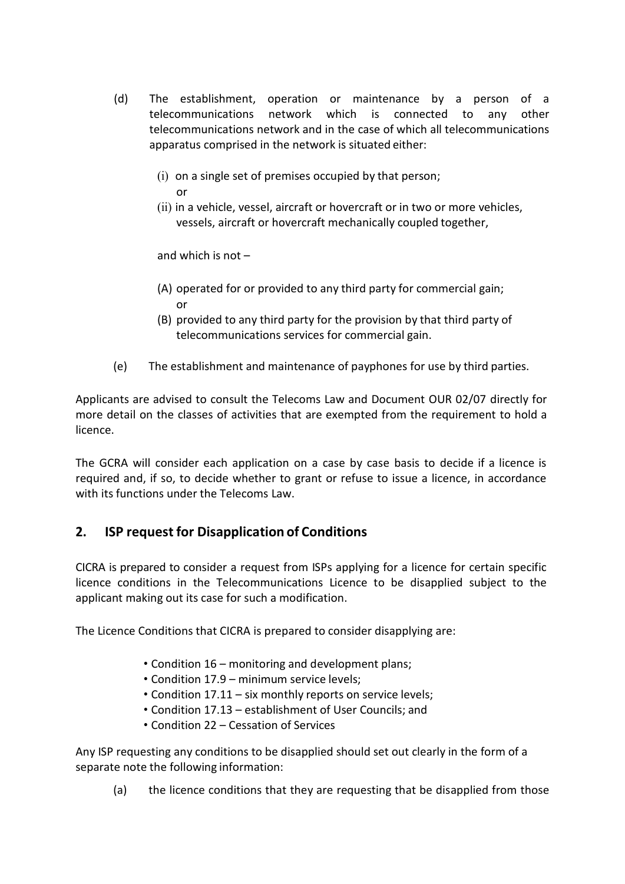- (d) The establishment, operation or maintenance by a person of a telecommunications network which is connected to any other telecommunications network and in the case of which all telecommunications apparatus comprised in the network is situated either:
	- (i) on a single set of premises occupied by that person; or
	- (ii) in a vehicle, vessel, aircraft or hovercraft or in two or more vehicles, vessels, aircraft or hovercraft mechanically coupled together,

and which is not –

- (A) operated for or provided to any third party for commercial gain; or
- (B) provided to any third party for the provision by that third party of telecommunications services for commercial gain.
- (e) The establishment and maintenance of payphones for use by third parties.

Applicants are advised to consult the Telecoms Law and Document OUR 02/07 directly for more detail on the classes of activities that are exempted from the requirement to hold a licence.

The GCRA will consider each application on a case by case basis to decide if a licence is required and, if so, to decide whether to grant or refuse to issue a licence, in accordance with its functions under the Telecoms Law.

## **2. ISP request for Disapplication of Conditions**

CICRA is prepared to consider a request from ISPs applying for a licence for certain specific licence conditions in the Telecommunications Licence to be disapplied subject to the applicant making out its case for such a modification.

The Licence Conditions that CICRA is prepared to consider disapplying are:

- Condition 16 monitoring and development plans;
- Condition 17.9 minimum service levels;
- Condition 17.11 six monthly reports on service levels;
- Condition 17.13 establishment of User Councils; and
- Condition 22 Cessation of Services

Any ISP requesting any conditions to be disapplied should set out clearly in the form of a separate note the following information:

(a) the licence conditions that they are requesting that be disapplied from those